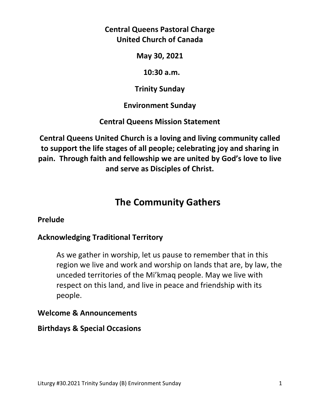# **Central Queens Pastoral Charge United Church of Canada**

**May 30, 2021** 

 **10:30 a.m.** 

**Trinity Sunday** 

**Environment Sunday** 

**Central Queens Mission Statement** 

**Central Queens United Church is a loving and living community called to support the life stages of all people; celebrating joy and sharing in pain. Through faith and fellowship we are united by God's love to live and serve as Disciples of Christ.**

# **The Community Gathers**

#### **Prelude**

# **Acknowledging Traditional Territory**

 As we gather in worship, let us pause to remember that in this region we live and work and worship on lands that are, by law, the unceded territories of the Mi'kmaq people. May we live with respect on this land, and live in peace and friendship with its people.

#### **Welcome & Announcements**

#### **Birthdays & Special Occasions**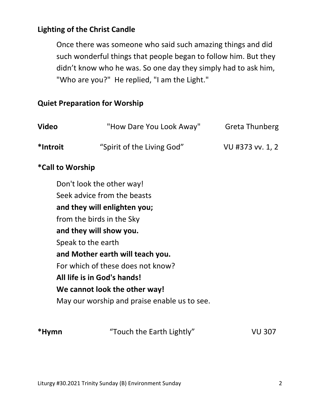# **Lighting of the Christ Candle**

Once there was someone who said such amazing things and did such wonderful things that people began to follow him. But they didn't know who he was. So one day they simply had to ask him, "Who are you?" He replied, "I am the Light."

#### **Quiet Preparation for Worship**

| <b>Video</b>     | "How Dare You Look Away"                     | <b>Greta Thunberg</b> |
|------------------|----------------------------------------------|-----------------------|
| *Introit         | "Spirit of the Living God"                   | VU #373 vv. 1, 2      |
| *Call to Worship |                                              |                       |
|                  | Don't look the other way!                    |                       |
|                  | Seek advice from the beasts                  |                       |
|                  | and they will enlighten you;                 |                       |
|                  | from the birds in the Sky                    |                       |
|                  | and they will show you.                      |                       |
|                  | Speak to the earth                           |                       |
|                  | and Mother earth will teach you.             |                       |
|                  | For which of these does not know?            |                       |
|                  | All life is in God's hands!                  |                       |
|                  | We cannot look the other way!                |                       |
|                  | May our worship and praise enable us to see. |                       |

| *Hymn | "Touch the Earth Lightly" | VU 307 |
|-------|---------------------------|--------|
|       |                           |        |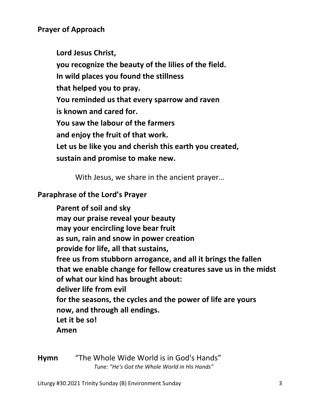### **Prayer of Approach**

 **Lord Jesus Christ, you recognize the beauty of the lilies of the field. In wild places you found the stillness that helped you to pray. You reminded us that every sparrow and raven is known and cared for. You saw the labour of the farmers and enjoy the fruit of that work. Let us be like you and cherish this earth you created, sustain and promise to make new.** 

With Jesus, we share in the ancient prayer…

#### **Paraphrase of the Lord's Prayer**

**Parent of soil and sky may our praise reveal your beauty may your encircling love bear fruit as sun, rain and snow in power creation provide for life, all that sustains, free us from stubborn arrogance, and all it brings the fallen that we enable change for fellow creatures save us in the midst of what our kind has brought about: deliver life from evil for the seasons, the cycles and the power of life are yours now, and through all endings. Let it be so! Amen** 

**Hymn** "The Whole Wide World is in God's Hands" *Tune: "He's Got the Whole World in His Hands"*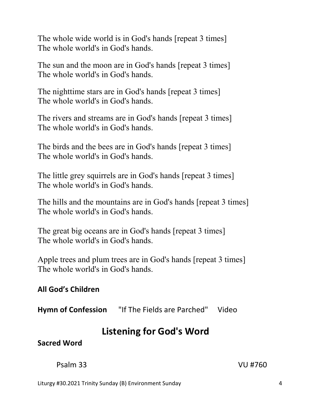The whole wide world is in God's hands [repeat 3 times] The whole world's in God's hands.

The sun and the moon are in God's hands [repeat 3 times] The whole world's in God's hands.

The nighttime stars are in God's hands [repeat 3 times] The whole world's in God's hands.

The rivers and streams are in God's hands [repeat 3 times] The whole world's in God's hands.

The birds and the bees are in God's hands [repeat 3 times] The whole world's in God's hands.

The little grey squirrels are in God's hands [repeat 3 times] The whole world's in God's hands.

The hills and the mountains are in God's hands [repeat 3 times] The whole world's in God's hands.

The great big oceans are in God's hands [repeat 3 times] The whole world's in God's hands.

Apple trees and plum trees are in God's hands [repeat 3 times] The whole world's in God's hands.

# **All God's Children**

**Hymn of Confession** "If The Fields are Parched" Video

# **Listening for God's Word**

**Sacred Word** 

Psalm 33 VU #760

Liturgy #30.2021 Trinity Sunday (B) Environment Sunday 4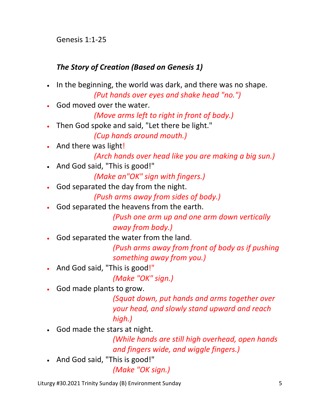Genesis 1:1-25

# *The Story of Creation (Based on Genesis 1)*

- In the beginning, the world was dark, and there was no shape. *(Put hands over eyes and shake head "no.")*
- God moved over the water.

 *(Move arms left to right in front of body.)* 

Then God spoke and said, "Let there be light."

*(Cup hands around mouth.)* 

And there was light!

```
 (Arch hands over head like you are making a big sun.)
```
And God said, "This is good!"

 *(Make an"OK" sign with fingers.)*

God separated the day from the night.

*(Push arms away from sides of body.)* 

God separated the heavens from the earth.

 *(Push one arm up and one arm down vertically away from body.)* 

God separated the water from the land.

 *(Push arms away from front of body as if pushing something away from you.)* 

And God said, "This is good!"

 *(Make "OK" sign.)* 

God made plants to grow.

 *(Squat down, put hands and arms together over your head, and slowly stand upward and reach high.)* 

God made the stars at night.

 *(While hands are still high overhead, open hands and fingers wide, and wiggle fingers.)* 

And God said, "This is good!"

 *(Make "OK sign.)* 

Liturgy #30.2021 Trinity Sunday (B) Environment Sunday 5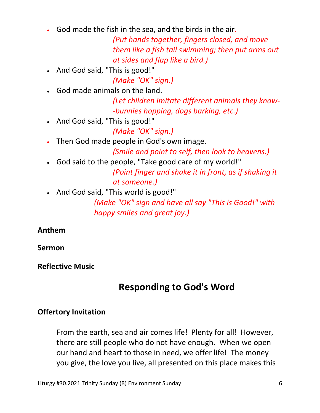God made the fish in the sea, and the birds in the air.

 *(Put hands together, fingers closed, and move them like a fish tail swimming; then put arms out at sides and flap like a bird.)* 

And God said, "This is good!"

*(Make "OK" sign.)* 

God made animals on the land.

 *(Let children imitate different animals they know- -bunnies hopping, dogs barking, etc.)* 

And God said, "This is good!"

 *(Make "OK" sign.)* 

Then God made people in God's own image.

*(Smile and point to self, then look to heavens.)* 

- God said to the people, "Take good care of my world!" *(Point finger and shake it in front, as if shaking it at someone.)*
- And God said, "This world is good!"

 *(Make "OK" sign and have all say "This is Good!" with happy smiles and great joy.)* 

#### **Anthem**

**Sermon** 

#### **Reflective Music**

# **Responding to God's Word**

# **Offertory Invitation**

From the earth, sea and air comes life! Plenty for all! However, there are still people who do not have enough. When we open our hand and heart to those in need, we offer life! The money you give, the love you live, all presented on this place makes this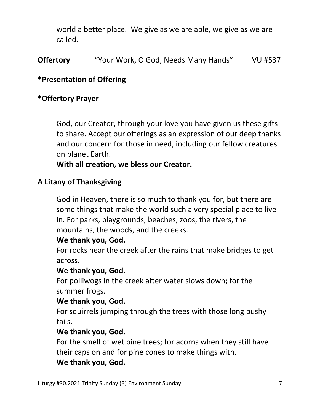world a better place. We give as we are able, we give as we are called.

**Offertory** "Your Work, O God, Needs Many Hands" VU #537

#### **\*Presentation of Offering**

#### **\*Offertory Prayer**

God, our Creator, through your love you have given us these gifts to share. Accept our offerings as an expression of our deep thanks and our concern for those in need, including our fellow creatures on planet Earth.

**With all creation, we bless our Creator.** 

#### **A Litany of Thanksgiving**

 God in Heaven, there is so much to thank you for, but there are some things that make the world such a very special place to live in. For parks, playgrounds, beaches, zoos, the rivers, the mountains, the woods, and the creeks.

#### **We thank you, God.**

 For rocks near the creek after the rains that make bridges to get across.

#### **We thank you, God.**

 For polliwogs in the creek after water slows down; for the summer frogs.

#### **We thank you, God.**

 For squirrels jumping through the trees with those long bushy tails.

#### **We thank you, God.**

 For the smell of wet pine trees; for acorns when they still have their caps on and for pine cones to make things with.

#### **We thank you, God.**